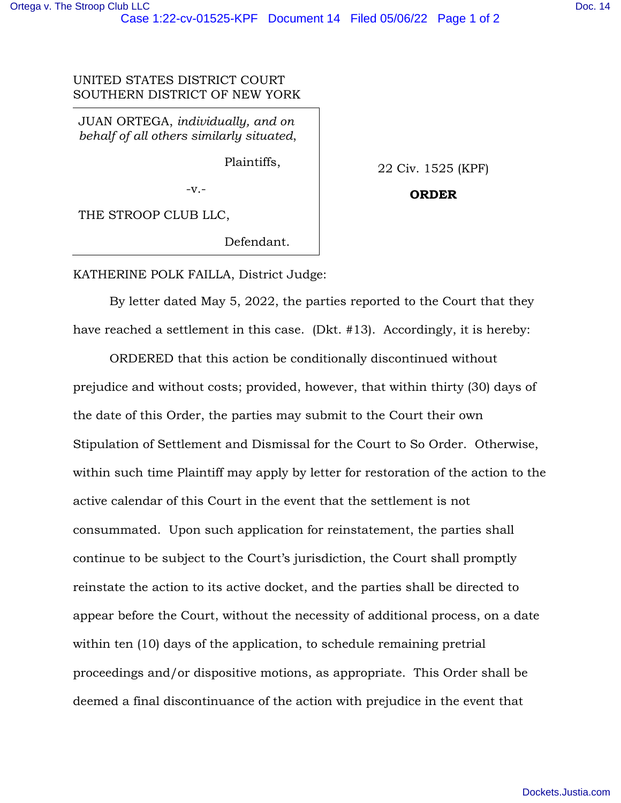## UNITED STATES DISTRICT COURT SOUTHERN DISTRICT OF NEW YORK

JUAN ORTEGA, *individually, and on behalf of all others similarly situated*,

Plaintiffs,

-v.-

22 Civ. 1525 (KPF)

**ORDER** 

THE STROOP CLUB LLC,

Defendant.

## KATHERINE POLK FAILLA, District Judge:

 By letter dated May 5, 2022, the parties reported to the Court that they have reached a settlement in this case. (Dkt. #13). Accordingly, it is hereby:

ORDERED that this action be conditionally discontinued without prejudice and without costs; provided, however, that within thirty (30) days of the date of this Order, the parties may submit to the Court their own Stipulation of Settlement and Dismissal for the Court to So Order. Otherwise, within such time Plaintiff may apply by letter for restoration of the action to the active calendar of this Court in the event that the settlement is not consummated. Upon such application for reinstatement, the parties shall continue to be subject to the Court's jurisdiction, the Court shall promptly reinstate the action to its active docket, and the parties shall be directed to appear before the Court, without the necessity of additional process, on a date within ten (10) days of the application, to schedule remaining pretrial proceedings and/or dispositive motions, as appropriate. This Order shall be deemed a final discontinuance of the action with prejudice in the event that